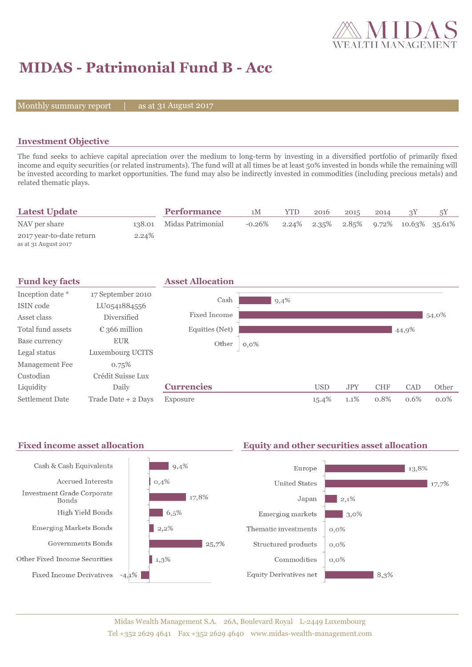

# **MIDAS - Patrimonial Fund B - Acc**

Monthly summary report  $|$ 

as at 31 August 2017

### **Investment Objective**

The fund seeks to achieve capital apreciation over the medium to long-term by investing in a diversified portfolio of primarily fixed income and equity securities (or related instruments). The fund will at all times be at least 50% invested in bonds while the remaining will be invested according to market opportunities. The fund may also be indirectly invested in commodities (including precious metals) and related thematic plays.

| <b>Latest Update</b>                             |        | <b>Performance</b> | 1 M       | YTD | 2016 | 2015 | 2014 |                                                         | 5Y |
|--------------------------------------------------|--------|--------------------|-----------|-----|------|------|------|---------------------------------------------------------|----|
| NAV per share                                    | 138.01 | Midas Patrimonial  | $-0.26\%$ |     |      |      |      | $2.24\%$ $2.35\%$ $2.85\%$ $9.72\%$ $10.63\%$ $35.61\%$ |    |
| 2017 year-to-date return<br>as at 31 August 2017 | 2.24%  |                    |           |     |      |      |      |                                                         |    |



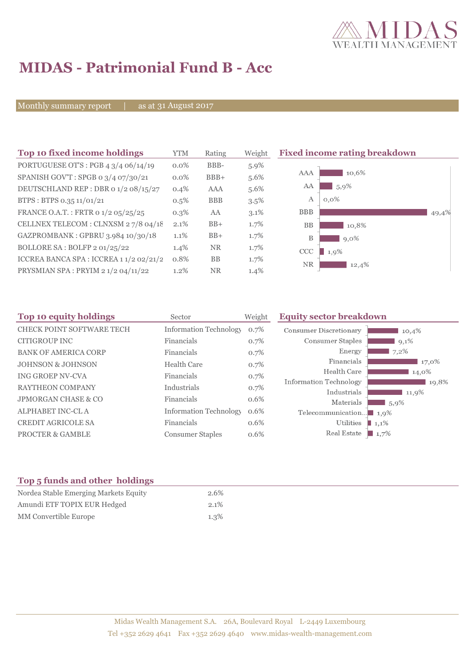

## **MIDAS - Patrimonial Fund B - Acc**

Monthly summary report | as at 31 August 2017

| Top 10 fixed income holdings                   | <b>YTM</b> | Rating     | Weight  | <b>Fixed income rating breakdown</b> |       |
|------------------------------------------------|------------|------------|---------|--------------------------------------|-------|
| PORTUGUESE OT'S : PGB $4 \frac{3}{4}$ 06/14/19 | $0.0\%$    | BBB-       | $5.9\%$ |                                      |       |
| SPANISH GOV'T: SPGB 0 3/4 07/30/21             | $0.0\%$    | $BBB+$     | 5.6%    | 10,6%<br>AAA                         |       |
| DEUTSCHLAND REP : DBR 0 1/2 08/15/27           | $0.4\%$    | AAA        | 5.6%    | AA<br>5,9%                           |       |
| BTPS: BTPS 0.35 11/01/21                       | $0.5\%$    | <b>BBB</b> | $3.5\%$ | А<br>$0,0\%$                         |       |
| FRANCE O.A.T.: FRTR 0 1/2 05/25/25             | $0.3\%$    | AA         | $3.1\%$ | <b>BBB</b>                           | 49,4% |
| CELLNEX TELECOM : CLNXSM 27/8 04/18            | 2.1%       | $BB+$      | 1.7%    | <b>BB</b><br>10,8%                   |       |
| GAZPROMBANK: GPBRU 3.984 10/30/18              | 1.1%       | $BB+$      | 1.7%    | B<br>$9.0\%$                         |       |
| BOLLORE SA: BOLFP 2 01/25/22                   | 1.4%       | <b>NR</b>  | 1.7%    | CCC<br>1,9%                          |       |
| ICCREA BANCA SPA : ICCREA 1 1/2 02/21/2        | 0.8%       | <b>BB</b>  | $1.7\%$ | <b>NR</b><br>12,4%                   |       |
| PRYSMIAN SPA : PRYIM 2 1/2 04/11/22            | 1.2%       | <b>NR</b>  | $1.4\%$ |                                      |       |

| Top 10 equity holdings         | Sector                        | Weight  | <b>Equity sector breakdown</b>        |         |
|--------------------------------|-------------------------------|---------|---------------------------------------|---------|
| CHECK POINT SOFTWARE TECH      | <b>Information Technology</b> | $0.7\%$ | Consumer Discretionary                | 10,4%   |
| CITIGROUP INC                  | Financials                    | 0.7%    | Consumer Staples                      | $9,1\%$ |
| <b>BANK OF AMERICA CORP</b>    | Financials                    | 0.7%    | Energy                                | 7,2%    |
| <b>JOHNSON &amp; JOHNSON</b>   | <b>Health Care</b>            | 0.7%    | Financials                            | 17,0%   |
| ING GROEP NV-CVA               | Financials                    | 0.7%    | Health Care                           | 14,0%   |
| <b>RAYTHEON COMPANY</b>        | Industrials                   | 0.7%    | Information Technology                | 19,8%   |
| <b>JPMORGAN CHASE &amp; CO</b> | Financials                    | 0.6%    | Industrials                           | 11,9%   |
|                                |                               |         | Materials                             | 5,9%    |
| <b>ALPHABET INC-CLA</b>        | <b>Information Technology</b> | $0.6\%$ | Telecommunication $\blacksquare$ 1,9% |         |
| <b>CREDIT AGRICOLE SA</b>      | Financials                    | 0.6%    | Utilities                             | 1,1%    |
| <b>PROCTER &amp; GAMBLE</b>    | <b>Consumer Staples</b>       | 0.6%    | Real Estate                           | 1,7%    |

### **Top 5 funds and other holdings**

| Nordea Stable Emerging Markets Equity | 2.6%    |
|---------------------------------------|---------|
| Amundi ETF TOPIX EUR Hedged           | $2.1\%$ |
| MM Convertible Europe                 | $1.3\%$ |